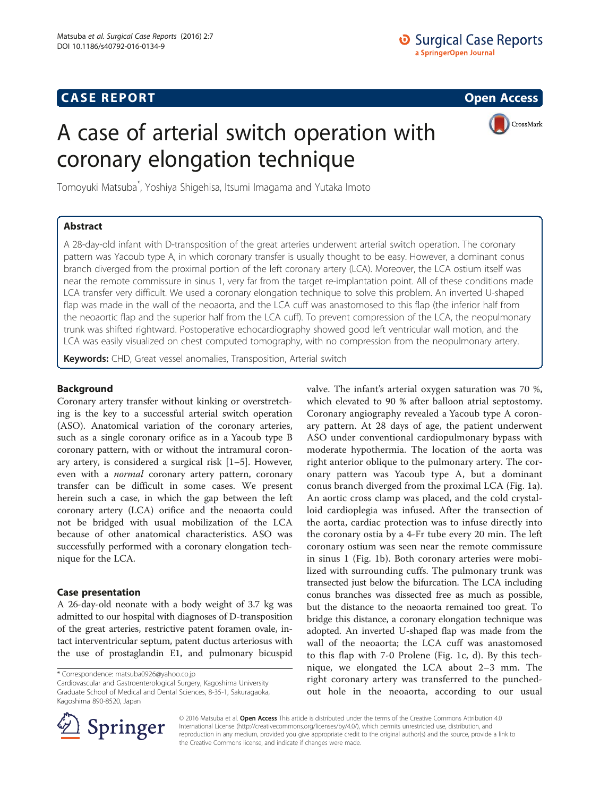# **CASE REPORT CASE REPORT CASE REPORT**

# A case of arterial switch operation with coronary elongation technique



Tomoyuki Matsuba\* , Yoshiya Shigehisa, Itsumi Imagama and Yutaka Imoto

# Abstract

A 28-day-old infant with D-transposition of the great arteries underwent arterial switch operation. The coronary pattern was Yacoub type A, in which coronary transfer is usually thought to be easy. However, a dominant conus branch diverged from the proximal portion of the left coronary artery (LCA). Moreover, the LCA ostium itself was near the remote commissure in sinus 1, very far from the target re-implantation point. All of these conditions made LCA transfer very difficult. We used a coronary elongation technique to solve this problem. An inverted U-shaped flap was made in the wall of the neoaorta, and the LCA cuff was anastomosed to this flap (the inferior half from the neoaortic flap and the superior half from the LCA cuff). To prevent compression of the LCA, the neopulmonary trunk was shifted rightward. Postoperative echocardiography showed good left ventricular wall motion, and the LCA was easily visualized on chest computed tomography, with no compression from the neopulmonary artery.

Keywords: CHD, Great vessel anomalies, Transposition, Arterial switch

## Background

Coronary artery transfer without kinking or overstretching is the key to a successful arterial switch operation (ASO). Anatomical variation of the coronary arteries, such as a single coronary orifice as in a Yacoub type B coronary pattern, with or without the intramural coronary artery, is considered a surgical risk [\[1](#page--1-0)–[5](#page--1-0)]. However, even with a *normal* coronary artery pattern, coronary transfer can be difficult in some cases. We present herein such a case, in which the gap between the left coronary artery (LCA) orifice and the neoaorta could not be bridged with usual mobilization of the LCA because of other anatomical characteristics. ASO was successfully performed with a coronary elongation technique for the LCA.

### Case presentation

A 26-day-old neonate with a body weight of 3.7 kg was admitted to our hospital with diagnoses of D-transposition of the great arteries, restrictive patent foramen ovale, intact interventricular septum, patent ductus arteriosus with the use of prostaglandin E1, and pulmonary bicuspid

Cardiovascular and Gastroenterological Surgery, Kagoshima University Graduate School of Medical and Dental Sciences, 8-35-1, Sakuragaoka, Kagoshima 890-8520, Japan

valve. The infant's arterial oxygen saturation was 70 %, which elevated to 90 % after balloon atrial septostomy. Coronary angiography revealed a Yacoub type A coronary pattern. At 28 days of age, the patient underwent ASO under conventional cardiopulmonary bypass with moderate hypothermia. The location of the aorta was right anterior oblique to the pulmonary artery. The coronary pattern was Yacoub type A, but a dominant conus branch diverged from the proximal LCA (Fig. [1a](#page-1-0)). An aortic cross clamp was placed, and the cold crystalloid cardioplegia was infused. After the transection of the aorta, cardiac protection was to infuse directly into the coronary ostia by a 4-Fr tube every 20 min. The left coronary ostium was seen near the remote commissure in sinus 1 (Fig. [1b](#page-1-0)). Both coronary arteries were mobilized with surrounding cuffs. The pulmonary trunk was transected just below the bifurcation. The LCA including conus branches was dissected free as much as possible, but the distance to the neoaorta remained too great. To bridge this distance, a coronary elongation technique was adopted. An inverted U-shaped flap was made from the wall of the neoaorta; the LCA cuff was anastomosed to this flap with 7-0 Prolene (Fig. [1c, d](#page-1-0)). By this technique, we elongated the LCA about 2–3 mm. The right coronary artery was transferred to the punchedout hole in the neoaorta, according to our usual



© 2016 Matsuba et al. Open Access This article is distributed under the terms of the Creative Commons Attribution 4.0 International License ([http://creativecommons.org/licenses/by/4.0/\)](http://creativecommons.org/licenses/by/4.0/), which permits unrestricted use, distribution, and reproduction in any medium, provided you give appropriate credit to the original author(s) and the source, provide a link to the Creative Commons license, and indicate if changes were made.

<sup>\*</sup> Correspondence: [matsuba0926@yahoo.co.jp](mailto:matsuba0926@yahoo.co.jp)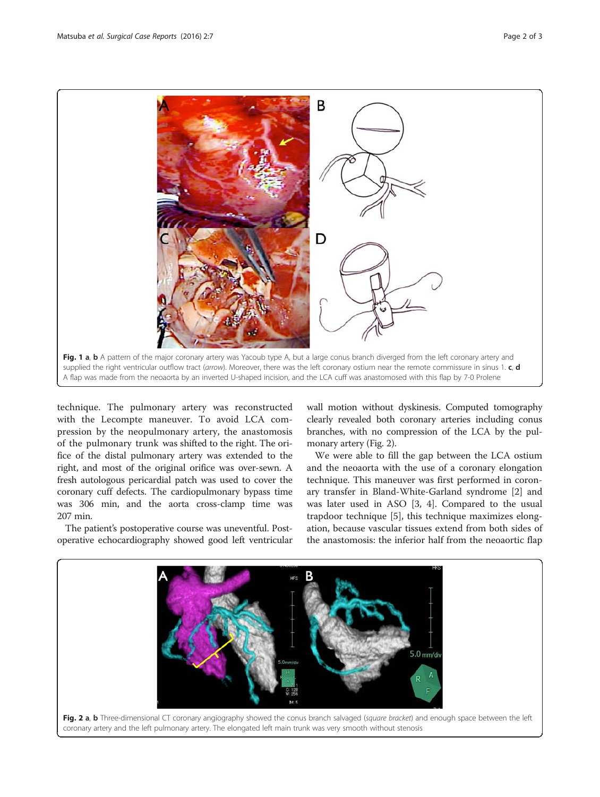<span id="page-1-0"></span>

technique. The pulmonary artery was reconstructed with the Lecompte maneuver. To avoid LCA compression by the neopulmonary artery, the anastomosis of the pulmonary trunk was shifted to the right. The orifice of the distal pulmonary artery was extended to the right, and most of the original orifice was over-sewn. A fresh autologous pericardial patch was used to cover the coronary cuff defects. The cardiopulmonary bypass time was 306 min, and the aorta cross-clamp time was 207 min.

The patient's postoperative course was uneventful. Postoperative echocardiography showed good left ventricular wall motion without dyskinesis. Computed tomography clearly revealed both coronary arteries including conus branches, with no compression of the LCA by the pulmonary artery (Fig. 2).

We were able to fill the gap between the LCA ostium and the neoaorta with the use of a coronary elongation technique. This maneuver was first performed in coronary transfer in Bland-White-Garland syndrome [[2\]](#page--1-0) and was later used in ASO [[3, 4\]](#page--1-0). Compared to the usual trapdoor technique [[5](#page--1-0)], this technique maximizes elongation, because vascular tissues extend from both sides of the anastomosis: the inferior half from the neoaortic flap